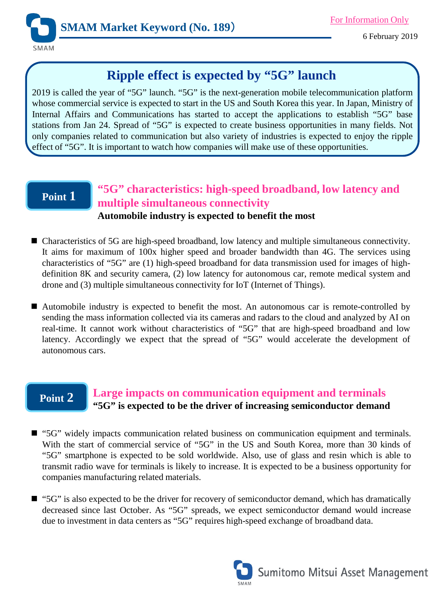

# **Ripple effect is expected by "5G" launch**

2019 is called the year of "5G" launch. "5G" is the next-generation mobile telecommunication platform whose commercial service is expected to start in the US and South Korea this year. In Japan, Ministry of Internal Affairs and Communications has started to accept the applications to establish "5G" base stations from Jan 24. Spread of "5G" is expected to create business opportunities in many fields. Not only companies related to communication but also variety of industries is expected to enjoy the ripple effect of "5G". It is important to watch how companies will make use of these opportunities.

## **Point 1**

# **"5G" characteristics: high-speed broadband, low latency and multiple simultaneous connectivity**

### **Automobile industry is expected to benefit the most**

- Characteristics of 5G are high-speed broadband, low latency and multiple simultaneous connectivity. It aims for maximum of 100x higher speed and broader bandwidth than 4G. The services using characteristics of "5G" are (1) high-speed broadband for data transmission used for images of highdefinition 8K and security camera, (2) low latency for autonomous car, remote medical system and drone and (3) multiple simultaneous connectivity for IoT (Internet of Things).
- Automobile industry is expected to benefit the most. An autonomous car is remote-controlled by sending the mass information collected via its cameras and radars to the cloud and analyzed by AI on real-time. It cannot work without characteristics of "5G" that are high-speed broadband and low latency. Accordingly we expect that the spread of "5G" would accelerate the development of autonomous cars.

### **Point 2 Large impacts on communication equipment and terminals "5G" is expected to be the driver of increasing semiconductor demand**

- "5G" widely impacts communication related business on communication equipment and terminals. With the start of commercial service of "5G" in the US and South Korea, more than 30 kinds of "5G" smartphone is expected to be sold worldwide. Also, use of glass and resin which is able to transmit radio wave for terminals is likely to increase. It is expected to be a business opportunity for companies manufacturing related materials.
- "5G" is also expected to be the driver for recovery of semiconductor demand, which has dramatically decreased since last October. As "5G" spreads, we expect semiconductor demand would increase due to investment in data centers as "5G" requires high-speed exchange of broadband data.